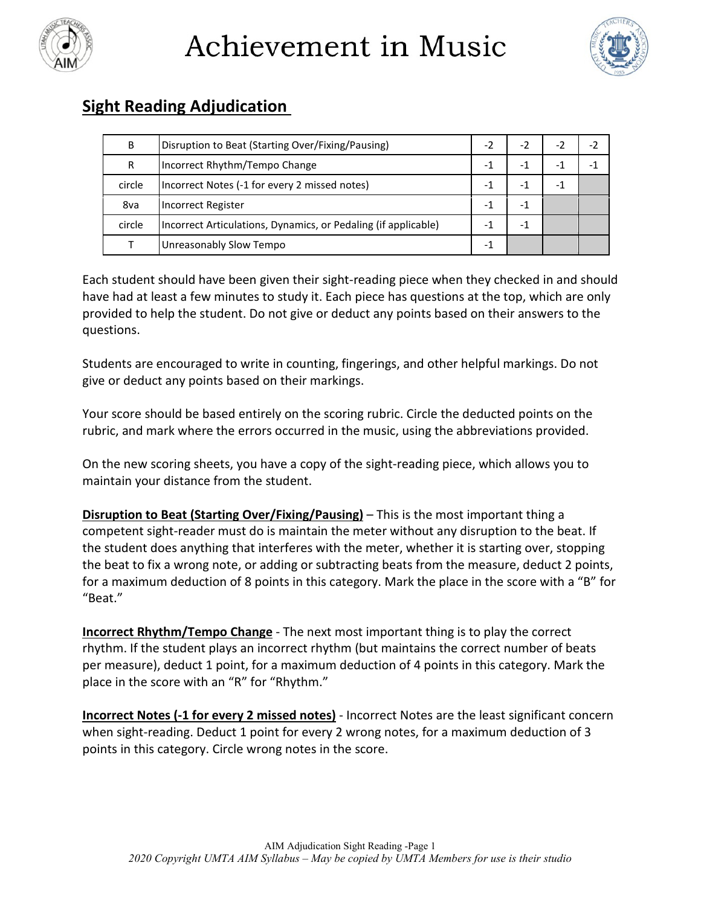

Achievement in Music



## **Sight Reading Adjudication**

| B      | Disruption to Beat (Starting Over/Fixing/Pausing)              | - 2                      | -2  | $-2$ |
|--------|----------------------------------------------------------------|--------------------------|-----|------|
| R      | Incorrect Rhythm/Tempo Change                                  | -                        |     |      |
| circle | Incorrect Notes (-1 for every 2 missed notes)                  | -                        | - 1 |      |
| 8va    | Incorrect Register                                             | -                        |     |      |
| circle | Incorrect Articulations, Dynamics, or Pedaling (if applicable) | $\overline{\phantom{0}}$ |     |      |
|        | Unreasonably Slow Tempo                                        | -                        |     |      |

Each student should have been given their sight-reading piece when they checked in and should have had at least a few minutes to study it. Each piece has questions at the top, which are only provided to help the student. Do not give or deduct any points based on their answers to the questions.

Students are encouraged to write in counting, fingerings, and other helpful markings. Do not give or deduct any points based on their markings.

Your score should be based entirely on the scoring rubric. Circle the deducted points on the rubric, and mark where the errors occurred in the music, using the abbreviations provided.

On the new scoring sheets, you have a copy of the sight-reading piece, which allows you to maintain your distance from the student.

**Disruption to Beat (Starting Over/Fixing/Pausing)** – This is the most important thing a competent sight-reader must do is maintain the meter without any disruption to the beat. If the student does anything that interferes with the meter, whether it is starting over, stopping the beat to fix a wrong note, or adding or subtracting beats from the measure, deduct 2 points, for a maximum deduction of 8 points in this category. Mark the place in the score with a "B" for "Beat."

**Incorrect Rhythm/Tempo Change** - The next most important thing is to play the correct rhythm. If the student plays an incorrect rhythm (but maintains the correct number of beats per measure), deduct 1 point, for a maximum deduction of 4 points in this category. Mark the place in the score with an "R" for "Rhythm."

**Incorrect Notes (-1 for every 2 missed notes)** - Incorrect Notes are the least significant concern when sight-reading. Deduct 1 point for every 2 wrong notes, for a maximum deduction of 3 points in this category. Circle wrong notes in the score.